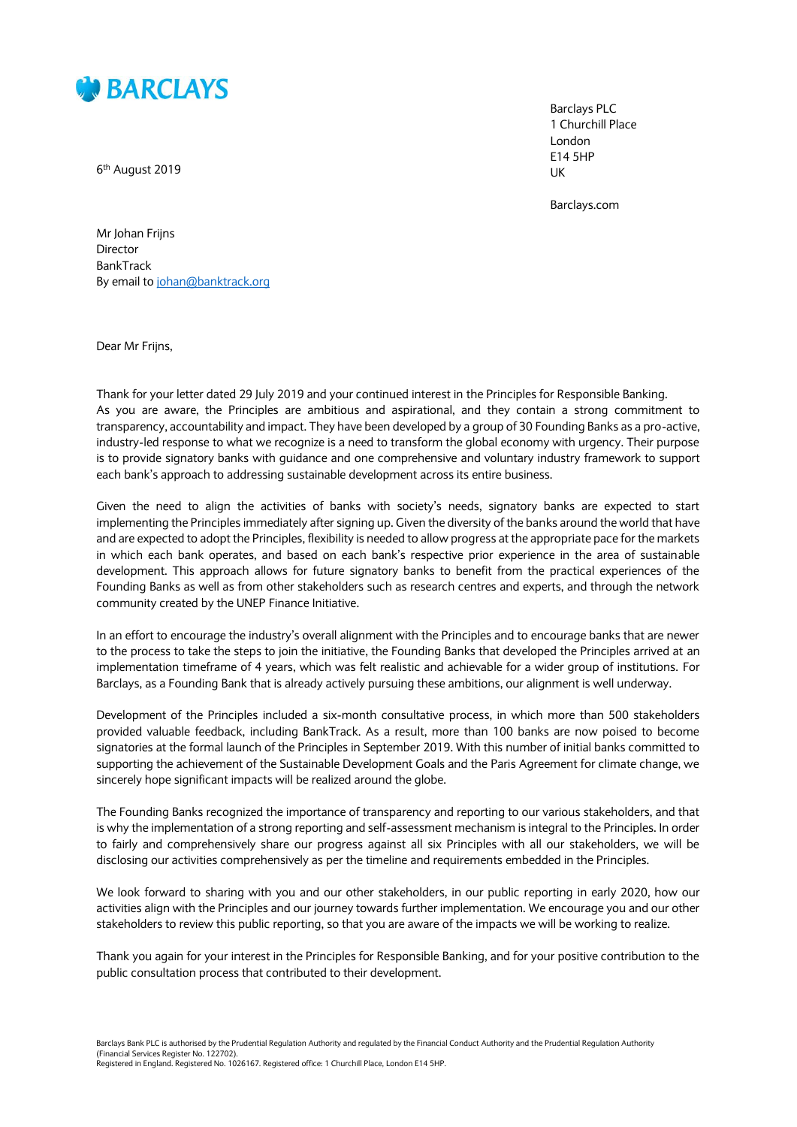

6<sup>th</sup> August 2019

Barclays PLC 1 Churchill Place London E14 5HP UK

Barclays.com

Mr Johan Frijns Director BankTrack By email to [johan@banktrack.org](mailto:johan@banktrack.org)

Dear Mr Frijns,

Thank for your letter dated 29 July 2019 and your continued interest in the Principles for Responsible Banking. As you are aware, the Principles are ambitious and aspirational, and they contain a strong commitment to transparency, accountability and impact. They have been developed by a group of 30 Founding Banks as a pro-active, industry-led response to what we recognize is a need to transform the global economy with urgency. Their purpose is to provide signatory banks with guidance and one comprehensive and voluntary industry framework to support each bank's approach to addressing sustainable development across its entire business.

Given the need to align the activities of banks with society's needs, signatory banks are expected to start implementing the Principles immediately after signing up. Given the diversity of the banks around the world that have and are expected to adopt the Principles, flexibility is needed to allow progress at the appropriate pace for the markets in which each bank operates, and based on each bank's respective prior experience in the area of sustainable development. This approach allows for future signatory banks to benefit from the practical experiences of the Founding Banks as well as from other stakeholders such as research centres and experts, and through the network community created by the UNEP Finance Initiative.

In an effort to encourage the industry's overall alignment with the Principles and to encourage banks that are newer to the process to take the steps to join the initiative, the Founding Banks that developed the Principles arrived at an implementation timeframe of 4 years, which was felt realistic and achievable for a wider group of institutions. For Barclays, as a Founding Bank that is already actively pursuing these ambitions, our alignment is well underway.

Development of the Principles included a six-month consultative process, in which more than 500 stakeholders provided valuable feedback, including BankTrack. As a result, more than 100 banks are now poised to become signatories at the formal launch of the Principles in September 2019. With this number of initial banks committed to supporting the achievement of the Sustainable Development Goals and the Paris Agreement for climate change, we sincerely hope significant impacts will be realized around the globe.

The Founding Banks recognized the importance of transparency and reporting to our various stakeholders, and that is why the implementation of a strong reporting and self-assessment mechanism is integral to the Principles. In order to fairly and comprehensively share our progress against all six Principles with all our stakeholders, we will be disclosing our activities comprehensively as per the timeline and requirements embedded in the Principles.

We look forward to sharing with you and our other stakeholders, in our public reporting in early 2020, how our activities align with the Principles and our journey towards further implementation. We encourage you and our other stakeholders to review this public reporting, so that you are aware of the impacts we will be working to realize.

Thank you again for your interest in the Principles for Responsible Banking, and for your positive contribution to the public consultation process that contributed to their development.